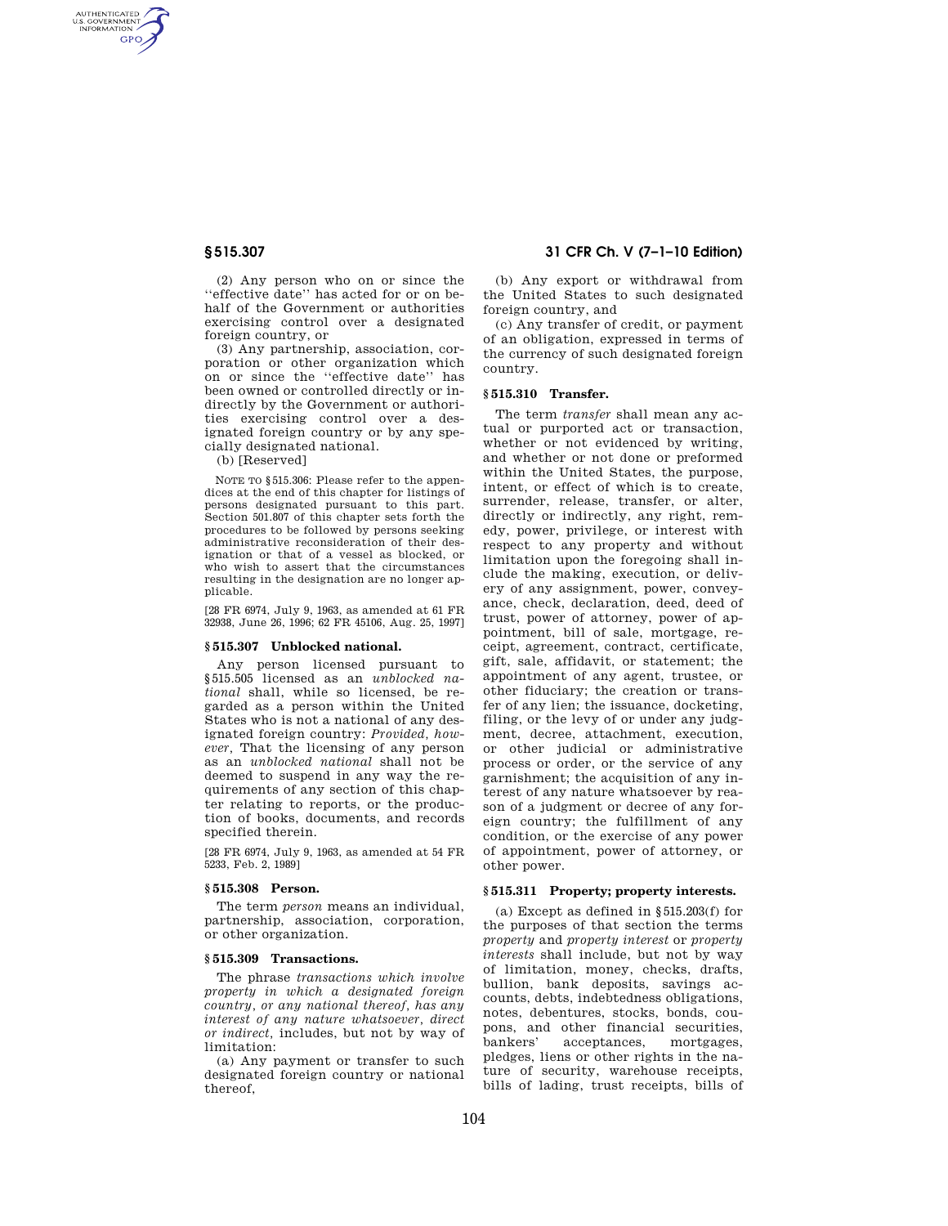AUTHENTICATED<br>U.S. GOVERNMENT<br>INFORMATION **GPO** 

> (2) Any person who on or since the ''effective date'' has acted for or on behalf of the Government or authorities exercising control over a designated foreign country, or

> (3) Any partnership, association, corporation or other organization which on or since the ''effective date'' has been owned or controlled directly or indirectly by the Government or authorities exercising control over a designated foreign country or by any specially designated national.

(b) [Reserved]

NOTE TO §515.306: Please refer to the appendices at the end of this chapter for listings of persons designated pursuant to this part. Section 501.807 of this chapter sets forth the procedures to be followed by persons seeking administrative reconsideration of their designation or that of a vessel as blocked, or who wish to assert that the circumstances resulting in the designation are no longer applicable.

[28 FR 6974, July 9, 1963, as amended at 61 FR 32938, June 26, 1996; 62 FR 45106, Aug. 25, 1997]

#### **§ 515.307 Unblocked national.**

Any person licensed pursuant to §515.505 licensed as an *unblocked national* shall, while so licensed, be regarded as a person within the United States who is not a national of any designated foreign country: *Provided, however,* That the licensing of any person as an *unblocked national* shall not be deemed to suspend in any way the requirements of any section of this chapter relating to reports, or the production of books, documents, and records specified therein.

[28 FR 6974, July 9, 1963, as amended at 54 FR 5233, Feb. 2, 1989]

## **§ 515.308 Person.**

The term *person* means an individual, partnership, association, corporation, or other organization.

# **§ 515.309 Transactions.**

The phrase *transactions which involve property in which a designated foreign country, or any national thereof, has any interest of any nature whatsoever, direct or indirect,* includes, but not by way of limitation:

(a) Any payment or transfer to such designated foreign country or national thereof,

# **§ 515.307 31 CFR Ch. V (7–1–10 Edition)**

(b) Any export or withdrawal from the United States to such designated foreign country, and

(c) Any transfer of credit, or payment of an obligation, expressed in terms of the currency of such designated foreign country.

## **§ 515.310 Transfer.**

The term *transfer* shall mean any actual or purported act or transaction, whether or not evidenced by writing, and whether or not done or preformed within the United States, the purpose, intent, or effect of which is to create, surrender, release, transfer, or alter, directly or indirectly, any right, remedy, power, privilege, or interest with respect to any property and without limitation upon the foregoing shall include the making, execution, or delivery of any assignment, power, conveyance, check, declaration, deed, deed of trust, power of attorney, power of appointment, bill of sale, mortgage, receipt, agreement, contract, certificate, gift, sale, affidavit, or statement; the appointment of any agent, trustee, or other fiduciary; the creation or transfer of any lien; the issuance, docketing, filing, or the levy of or under any judgment, decree, attachment, execution, or other judicial or administrative process or order, or the service of any garnishment; the acquisition of any interest of any nature whatsoever by reason of a judgment or decree of any foreign country; the fulfillment of any condition, or the exercise of any power of appointment, power of attorney, or other power.

## **§ 515.311 Property; property interests.**

(a) Except as defined in §515.203(f) for the purposes of that section the terms *property* and *property interest* or *property interests* shall include, but not by way of limitation, money, checks, drafts, bullion, bank deposits, savings accounts, debts, indebtedness obligations, notes, debentures, stocks, bonds, coupons, and other financial securities, bankers' acceptances, mortgages, pledges, liens or other rights in the nature of security, warehouse receipts, bills of lading, trust receipts, bills of